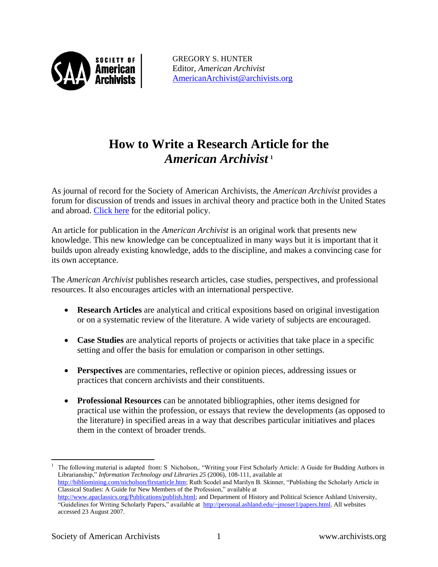

GREGORY S. HUNTER Editor, *American Archivist* [AmericanArchivist@archivists.org](mailto:AmericanArchivist@archivists.org)

# **How to Write a Research Article for the**  *American Archivist* **<sup>1</sup>**

As journal of record for the Society of American Archivists, the *American Archivist* provides a forum for discussion of trends and issues in archival theory and practice both in the United States and abroad. [Click here](http://www2.archivists.org/american-archivist/editorialpolicy) for the editorial policy.

An article for publication in the *American Archivist* is an original work that presents new knowledge. This new knowledge can be conceptualized in many ways but it is important that it builds upon already existing knowledge, adds to the discipline, and makes a convincing case for its own acceptance.

The *American Archivist* publishes research articles, case studies, perspectives, and professional resources. It also encourages articles with an international perspective.

- **Research Articles** are analytical and critical expositions based on original investigation or on a systematic review of the literature. A wide variety of subjects are encouraged.
- **Case Studies** are analytical reports of projects or activities that take place in a specific setting and offer the basis for emulation or comparison in other settings.
- **Perspectives** are commentaries, reflective or opinion pieces, addressing issues or practices that concern archivists and their constituents.
- **Professional Resources** can be annotated bibliographies, other items designed for practical use within the profession, or essays that review the developments (as opposed to the literature) in specified areas in a way that describes particular initiatives and places them in the context of broader trends.

 $\overline{a}$ 

<sup>1</sup> The following material is adapted from: S Nicholson,. "Writing your First Scholarly Article: A Guide for Budding Authors in Librarianship," *Information Technology and Libraries 25* (2006), 108-111, available at [http://bibliomining.com/nicholson/firstarticle.htm;](http://bibliomining.com/nicholson/firstarticle.htm) Ruth Scodel and Marilyn B. Skinner, "Publishing the Scholarly Article in Classical Studies: A Guide for New Members of the Profession," available at [http://www.apaclassics.org/Publications/publish.html;](http://www.apaclassics.org/Publications/publish.html) and Department of History and Political Science Ashland University, "Guidelines for Writing Scholarly Papers," available at [http://personal.ashland.edu/~jmoser1/papers.html.](http://personal.ashland.edu/~jmoser1/papers.html) All websites

accessed 23 August 2007.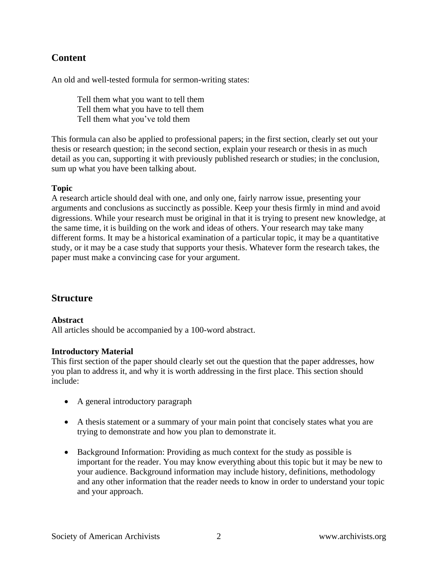# **Content**

An old and well-tested formula for sermon-writing states:

Tell them what you want to tell them Tell them what you have to tell them Tell them what you've told them

This formula can also be applied to professional papers; in the first section, clearly set out your thesis or research question; in the second section, explain your research or thesis in as much detail as you can, supporting it with previously published research or studies; in the conclusion, sum up what you have been talking about.

#### **Topic**

A research article should deal with one, and only one, fairly narrow issue, presenting your arguments and conclusions as succinctly as possible. Keep your thesis firmly in mind and avoid digressions. While your research must be original in that it is trying to present new knowledge, at the same time, it is building on the work and ideas of others. Your research may take many different forms. It may be a historical examination of a particular topic, it may be a quantitative study, or it may be a case study that supports your thesis. Whatever form the research takes, the paper must make a convincing case for your argument.

# **Structure**

#### **Abstract**

All articles should be accompanied by a 100-word abstract.

#### **Introductory Material**

This first section of the paper should clearly set out the question that the paper addresses, how you plan to address it, and why it is worth addressing in the first place. This section should include:

- A general introductory paragraph
- A thesis statement or a summary of your main point that concisely states what you are trying to demonstrate and how you plan to demonstrate it.
- Background Information: Providing as much context for the study as possible is important for the reader. You may know everything about this topic but it may be new to your audience. Background information may include history, definitions, methodology and any other information that the reader needs to know in order to understand your topic and your approach.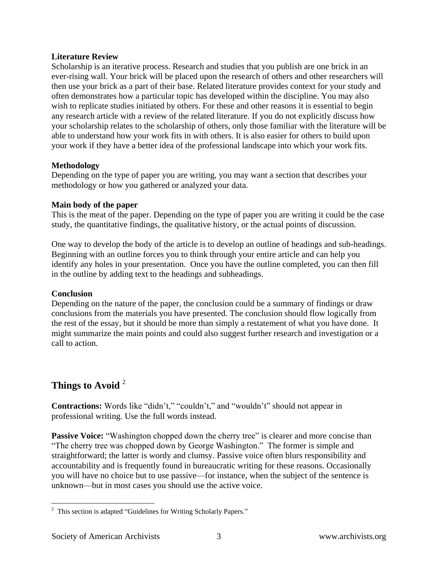### **Literature Review**

Scholarship is an iterative process. Research and studies that you publish are one brick in an ever-rising wall. Your brick will be placed upon the research of others and other researchers will then use your brick as a part of their base. Related literature provides context for your study and often demonstrates how a particular topic has developed within the discipline. You may also wish to replicate studies initiated by others. For these and other reasons it is essential to begin any research article with a review of the related literature. If you do not explicitly discuss how your scholarship relates to the scholarship of others, only those familiar with the literature will be able to understand how your work fits in with others. It is also easier for others to build upon your work if they have a better idea of the professional landscape into which your work fits.

## **Methodology**

Depending on the type of paper you are writing, you may want a section that describes your methodology or how you gathered or analyzed your data.

#### **Main body of the paper**

This is the meat of the paper. Depending on the type of paper you are writing it could be the case study, the quantitative findings, the qualitative history, or the actual points of discussion.

One way to develop the body of the article is to develop an outline of headings and sub-headings. Beginning with an outline forces you to think through your entire article and can help you identify any holes in your presentation. Once you have the outline completed, you can then fill in the outline by adding text to the headings and subheadings.

## **Conclusion**

Depending on the nature of the paper, the conclusion could be a summary of findings or draw conclusions from the materials you have presented. The conclusion should flow logically from the rest of the essay, but it should be more than simply a restatement of what you have done. It might summarize the main points and could also suggest further research and investigation or a call to action.

# **Things to Avoid** <sup>2</sup>

**Contractions:** Words like "didn't," "couldn't," and "wouldn't" should not appear in professional writing. Use the full words instead.

**Passive Voice:** "Washington chopped down the cherry tree" is clearer and more concise than "The cherry tree was chopped down by George Washington." The former is simple and straightforward; the latter is wordy and clumsy. Passive voice often blurs responsibility and accountability and is frequently found in bureaucratic writing for these reasons. Occasionally you will have no choice but to use passive—for instance, when the subject of the sentence is unknown—but in most cases you should use the active voice.

 $\overline{a}$ <sup>2</sup> This section is adapted "Guidelines for Writing Scholarly Papers."